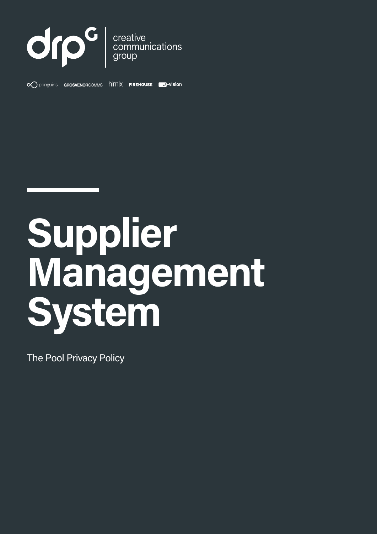

 $\infty$  penguins **GROSVENORCOMMS**  $h$   $|mx$  **FIREHOUSE a**-vision



The Pool Privacy Policy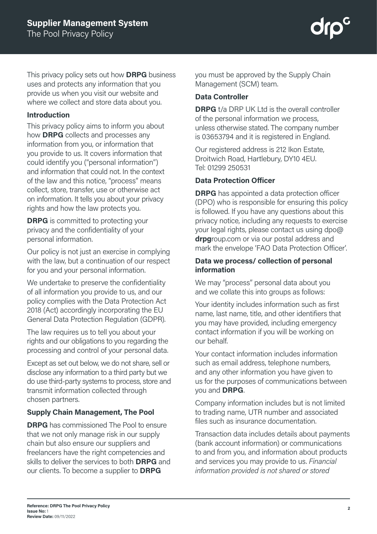This privacy policy sets out how **DRPG** business uses and protects any information that you provide us when you visit our website and where we collect and store data about you.

#### **Introduction**

This privacy policy aims to inform you about how **DRPG** collects and processes any information from you, or information that you provide to us. It covers information that could identify you ("personal information") and information that could not. In the context of the law and this notice, "process" means collect, store, transfer, use or otherwise act on information. It tells you about your privacy rights and how the law protects you.

**DRPG** is committed to protecting your privacy and the confidentiality of your personal information.

Our policy is not just an exercise in complying with the law, but a continuation of our respect for you and your personal information.

We undertake to preserve the confidentiality of all information you provide to us, and our policy complies with the Data Protection Act 2018 (Act) accordingly incorporating the EU General Data Protection Regulation (GDPR).

The law requires us to tell you about your rights and our obligations to you regarding the processing and control of your personal data.

Except as set out below, we do not share, sell or disclose any information to a third party but we do use third-party systems to process, store and transmit information collected through chosen partners.

## **Supply Chain Management, The Pool**

**DRPG** has commissioned The Pool to ensure that we not only manage risk in our supply chain but also ensure our suppliers and freelancers have the right competencies and skills to deliver the services to both **DRPG** and our clients. To become a supplier to **DRPG**

you must be approved by the Supply Chain Management (SCM) team.

### **Data Controller**

**DRPG** t/a DRP UK Ltd is the overall controller of the personal information we process, unless otherwise stated. The company number is 03653794 and it is registered in England.

Our registered address is 212 Ikon Estate, Droitwich Road, Hartlebury, DY10 4EU. Tel: 01299 250531

#### **Data Protection Officer**

**DRPG** has appointed a data protection officer (DPO) who is responsible for ensuring this policy is followed. If you have any questions about this privacy notice, including any requests to exercise your legal rights, please contact us using dpo@ **drpg**roup.com or via our postal address and mark the envelope 'FAO Data Protection Officer'.

#### **Data we process/ collection of personal information**

We may "process" personal data about you and we collate this into groups as follows:

Your identity includes information such as first name, last name, title, and other identifiers that you may have provided, including emergency contact information if you will be working on our behalf.

Your contact information includes information such as email address, telephone numbers, and any other information you have given to us for the purposes of communications between you and **DRPG**.

Company information includes but is not limited to trading name, UTR number and associated files such as insurance documentation.

Transaction data includes details about payments (bank account information) or communications to and from you, and information about products and services you may provide to us. *Financial information provided is not shared or stored*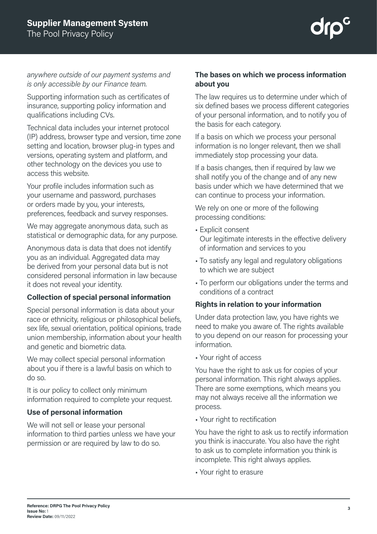*anywhere outside of our payment systems and is only accessible by our Finance team.* 

Supporting information such as certificates of insurance, supporting policy information and qualifications including CVs.

Technical data includes your internet protocol (IP) address, browser type and version, time zone setting and location, browser plug-in types and versions, operating system and platform, and other technology on the devices you use to access this website.

Your profile includes information such as your username and password, purchases or orders made by you, your interests, preferences, feedback and survey responses.

We may aggregate anonymous data, such as statistical or demographic data, for any purpose.

Anonymous data is data that does not identify you as an individual. Aggregated data may be derived from your personal data but is not considered personal information in law because it does not reveal your identity.

## **Collection of special personal information**

Special personal information is data about your race or ethnicity, religious or philosophical beliefs, sex life, sexual orientation, political opinions, trade union membership, information about your health and genetic and biometric data.

We may collect special personal information about you if there is a lawful basis on which to do so.

It is our policy to collect only minimum information required to complete your request.

## **Use of personal information**

We will not sell or lease your personal information to third parties unless we have your permission or are required by law to do so.

## **The bases on which we process information about you**

The law requires us to determine under which of six defined bases we process different categories of your personal information, and to notify you of the basis for each category.

If a basis on which we process your personal information is no longer relevant, then we shall immediately stop processing your data.

If a basis changes, then if required by law we shall notify you of the change and of any new basis under which we have determined that we can continue to process your information.

We rely on one or more of the following processing conditions:

- Explicit consent Our legitimate interests in the effective delivery of information and services to you
- To satisfy any legal and regulatory obligations to which we are subject
- To perform our obligations under the terms and conditions of a contract

## **Rights in relation to your information**

Under data protection law, you have rights we need to make you aware of. The rights available to you depend on our reason for processing your information.

• Your right of access

You have the right to ask us for copies of your personal information. This right always applies. There are some exemptions, which means you may not always receive all the information we process.

• Your right to rectification

You have the right to ask us to rectify information you think is inaccurate. You also have the right to ask us to complete information you think is incomplete. This right always applies.

• Your right to erasure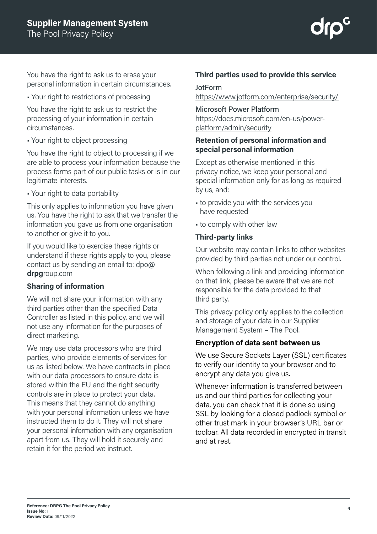You have the right to ask us to erase your personal information in certain circumstances.

• Your right to restrictions of processing

You have the right to ask us to restrict the processing of your information in certain circumstances.

• Your right to object processing

You have the right to object to processing if we are able to process your information because the process forms part of our public tasks or is in our legitimate interests.

• Your right to data portability

This only applies to information you have given us. You have the right to ask that we transfer the information you gave us from one organisation to another or give it to you.

If you would like to exercise these rights or understand if these rights apply to you, please contact us by sending an email to: dpo@ **drpg**roup.com

## **Sharing of information**

We will not share your information with any third parties other than the specified Data Controller as listed in this policy, and we will not use any information for the purposes of direct marketing.

We may use data processors who are third parties, who provide elements of services for us as listed below. We have contracts in place with our data processors to ensure data is stored within the EU and the right security controls are in place to protect your data. This means that they cannot do anything with your personal information unless we have instructed them to do it. They will not share your personal information with any organisation apart from us. They will hold it securely and retain it for the period we instruct.

# **Third parties used to provide this service**

## JotForm

https://www.jotform.com/enterprise/security/

# Microsoft Power Platform

https://docs.microsoft.com/en-us/powerplatform/admin/security

## **Retention of personal information and special personal information**

Except as otherwise mentioned in this privacy notice, we keep your personal and special information only for as long as required by us, and:

- to provide you with the services you have requested
- to comply with other law

## **Third-party links**

Our website may contain links to other websites provided by third parties not under our control.

When following a link and providing information on that link, please be aware that we are not responsible for the data provided to that third party.

This privacy policy only applies to the collection and storage of your data in our Supplier Management System – The Pool.

## **Encryption of data sent between us**

We use Secure Sockets Layer (SSL) certificates to verify our identity to your browser and to encrypt any data you give us.

Whenever information is transferred between us and our third parties for collecting your data, you can check that it is done so using SSL by looking for a closed padlock symbol or other trust mark in your browser's URL bar or toolbar. All data recorded in encrypted in transit and at rest.